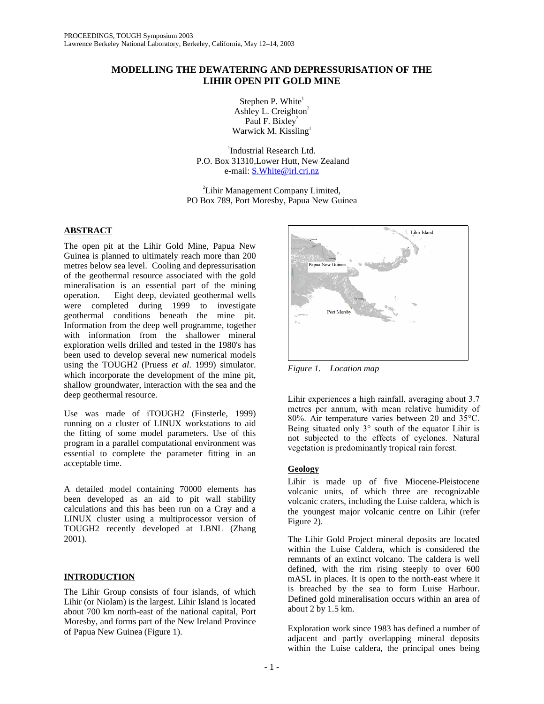# **MODELLING THE DEWATERING AND DEPRESSURISATION OF THE LIHIR OPEN PIT GOLD MINE**

Stephen P. White<sup>1</sup> Ashley L. Creighton $2$ Paul F. Bixley<sup>2</sup> Warwick M. Kissling $<sup>1</sup>$ </sup>

1 Industrial Research Ltd. P.O. Box 31310,Lower Hutt, New Zealand e-mail: S.White@irl.cri.nz

2 Lihir Management Company Limited, PO Box 789, Port Moresby, Papua New Guinea

# **ABSTRACT**

The open pit at the Lihir Gold Mine, Papua New Guinea is planned to ultimately reach more than 200 metres below sea level. Cooling and depressurisation of the geothermal resource associated with the gold mineralisation is an essential part of the mining operation. Eight deep, deviated geothermal wells were completed during 1999 to investigate geothermal conditions beneath the mine pit. Information from the deep well programme, together with information from the shallower mineral exploration wells drilled and tested in the 1980's has been used to develop several new numerical models using the TOUGH2 (Pruess *et al*. 1999) simulator. which incorporate the development of the mine pit, shallow groundwater, interaction with the sea and the deep geothermal resource.

Use was made of iTOUGH2 (Finsterle, 1999) running on a cluster of LINUX workstations to aid the fitting of some model parameters. Use of this program in a parallel computational environment was essential to complete the parameter fitting in an acceptable time.

A detailed model containing 70000 elements has been developed as an aid to pit wall stability calculations and this has been run on a Cray and a LINUX cluster using a multiprocessor version of TOUGH2 recently developed at LBNL (Zhang 2001).

# **INTRODUCTION**

The Lihir Group consists of four islands, of which Lihir (or Niolam) is the largest. Lihir Island is located about 700 km north-east of the national capital, Port Moresby, and forms part of the New Ireland Province of Papua New Guinea (Figure 1).



*Figure 1. Location map* 

Lihir experiences a high rainfall, averaging about 3.7 metres per annum, with mean relative humidity of 80%. Air temperature varies between 20 and 35°C. Being situated only 3° south of the equator Lihir is not subjected to the effects of cyclones. Natural vegetation is predominantly tropical rain forest.

# **Geology**

Lihir is made up of five Miocene-Pleistocene volcanic units, of which three are recognizable volcanic craters, including the Luise caldera, which is the youngest major volcanic centre on Lihir (refer Figure 2).

The Lihir Gold Project mineral deposits are located within the Luise Caldera, which is considered the remnants of an extinct volcano. The caldera is well defined, with the rim rising steeply to over 600 mASL in places. It is open to the north-east where it is breached by the sea to form Luise Harbour. Defined gold mineralisation occurs within an area of about 2 by 1.5 km.

Exploration work since 1983 has defined a number of adjacent and partly overlapping mineral deposits within the Luise caldera, the principal ones being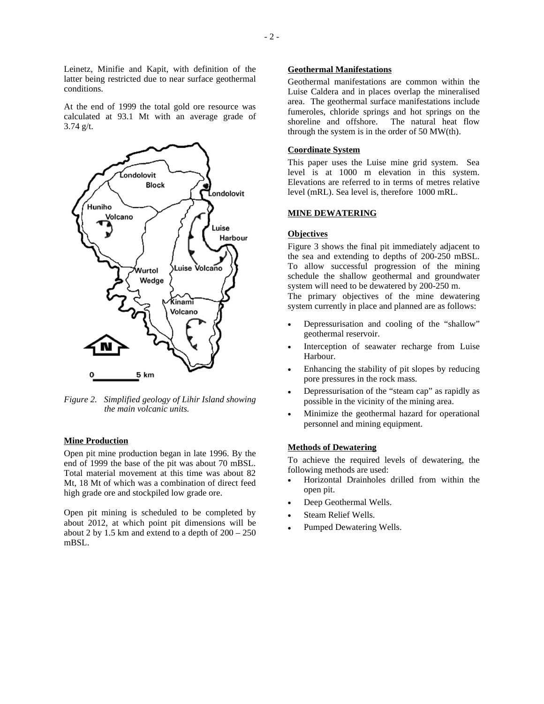Leinetz, Minifie and Kapit, with definition of the latter being restricted due to near surface geothermal conditions.

At the end of 1999 the total gold ore resource was calculated at 93.1 Mt with an average grade of 3.74 g/t.



*Figure 2. Simplified geology of Lihir Island showing the main volcanic units.* 

#### **Mine Production**

Open pit mine production began in late 1996. By the end of 1999 the base of the pit was about 70 mBSL. Total material movement at this time was about 82 Mt, 18 Mt of which was a combination of direct feed high grade ore and stockpiled low grade ore.

Open pit mining is scheduled to be completed by about 2012, at which point pit dimensions will be about 2 by 1.5 km and extend to a depth of  $200 - 250$ mBSL.

## **Geothermal Manifestations**

Geothermal manifestations are common within the Luise Caldera and in places overlap the mineralised area. The geothermal surface manifestations include fumeroles, chloride springs and hot springs on the shoreline and offshore. The natural heat flow through the system is in the order of 50 MW(th).

### **Coordinate System**

This paper uses the Luise mine grid system. Sea level is at 1000 m elevation in this system. Elevations are referred to in terms of metres relative level (mRL). Sea level is, therefore 1000 mRL.

### **MINE DEWATERING**

## **Objectives**

Figure 3 shows the final pit immediately adjacent to the sea and extending to depths of 200-250 mBSL. To allow successful progression of the mining schedule the shallow geothermal and groundwater system will need to be dewatered by 200-250 m. The primary objectives of the mine dewatering

system currently in place and planned are as follows:

- Depressurisation and cooling of the "shallow" geothermal reservoir.
- Interception of seawater recharge from Luise Harbour.
- Enhancing the stability of pit slopes by reducing pore pressures in the rock mass.
- Depressurisation of the "steam cap" as rapidly as possible in the vicinity of the mining area.
- Minimize the geothermal hazard for operational personnel and mining equipment.

#### **Methods of Dewatering**

To achieve the required levels of dewatering, the following methods are used:

- Horizontal Drainholes drilled from within the open pit.
- Deep Geothermal Wells.
- Steam Relief Wells.
- Pumped Dewatering Wells.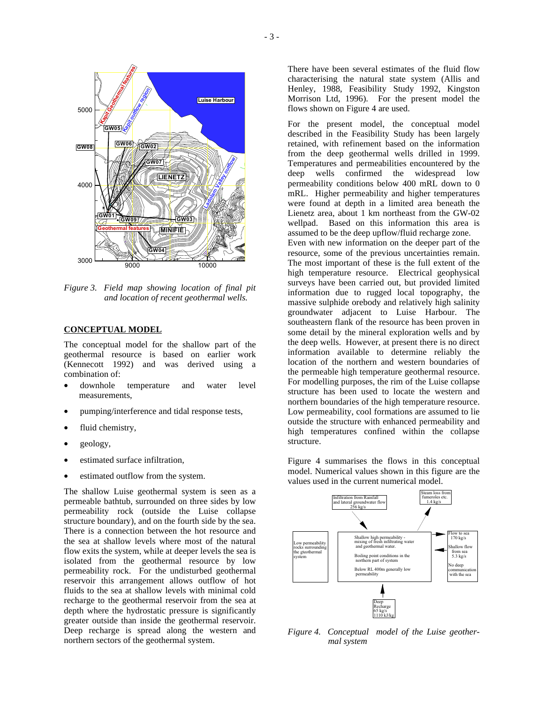

*Figure 3. Field map showing location of final pit and location of recent geothermal wells.* 

### **CONCEPTUAL MODEL**

The conceptual model for the shallow part of the geothermal resource is based on earlier work (Kennecott 1992) and was derived using a combination of:

- downhole temperature and water level measurements,
- pumping/interference and tidal response tests,
- fluid chemistry,
- geology,
- estimated surface infiltration,
- estimated outflow from the system.

The shallow Luise geothermal system is seen as a permeable bathtub, surrounded on three sides by low permeability rock (outside the Luise collapse structure boundary), and on the fourth side by the sea. There is a connection between the hot resource and the sea at shallow levels where most of the natural flow exits the system, while at deeper levels the sea is isolated from the geothermal resource by low permeability rock. For the undisturbed geothermal reservoir this arrangement allows outflow of hot fluids to the sea at shallow levels with minimal cold recharge to the geothermal reservoir from the sea at depth where the hydrostatic pressure is significantly greater outside than inside the geothermal reservoir. Deep recharge is spread along the western and northern sectors of the geothermal system.

There have been several estimates of the fluid flow characterising the natural state system (Allis and Henley, 1988, Feasibility Study 1992, Kingston Morrison Ltd, 1996). For the present model the flows shown on Figure 4 are used.

For the present model, the conceptual model described in the Feasibility Study has been largely retained, with refinement based on the information from the deep geothermal wells drilled in 1999. Temperatures and permeabilities encountered by the deep wells confirmed the widespread low permeability conditions below 400 mRL down to 0 mRL. Higher permeability and higher temperatures were found at depth in a limited area beneath the Lienetz area, about 1 km northeast from the GW-02 wellpad. Based on this information this area is assumed to be the deep upflow/fluid recharge zone. Even with new information on the deeper part of the resource, some of the previous uncertainties remain. The most important of these is the full extent of the high temperature resource. Electrical geophysical surveys have been carried out, but provided limited information due to rugged local topography, the massive sulphide orebody and relatively high salinity groundwater adjacent to Luise Harbour. The southeastern flank of the resource has been proven in some detail by the mineral exploration wells and by the deep wells. However, at present there is no direct information available to determine reliably the location of the northern and western boundaries of the permeable high temperature geothermal resource. For modelling purposes, the rim of the Luise collapse structure has been used to locate the western and northern boundaries of the high temperature resource. Low permeability, cool formations are assumed to lie outside the structure with enhanced permeability and high temperatures confined within the collapse structure.

Figure 4 summarises the flows in this conceptual model. Numerical values shown in this figure are the values used in the current numerical model.



*Figure 4. Conceptual model of the Luise geothermal system*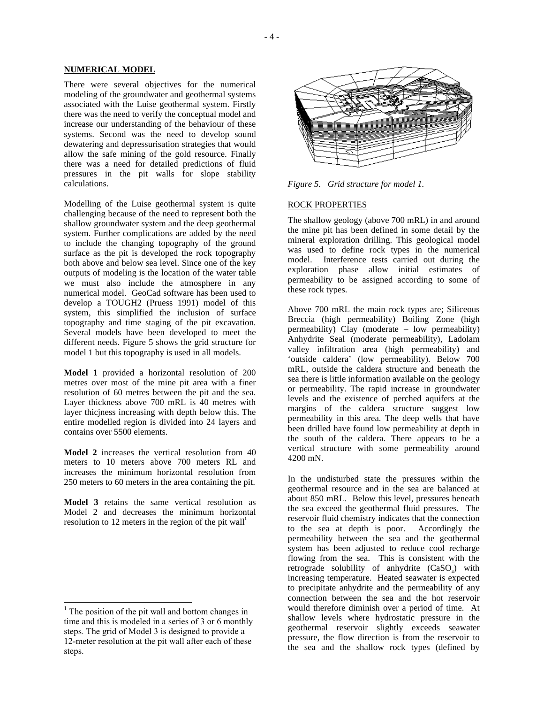### **NUMERICAL MODEL**

There were several objectives for the numerical modeling of the groundwater and geothermal systems associated with the Luise geothermal system. Firstly there was the need to verify the conceptual model and increase our understanding of the behaviour of these systems. Second was the need to develop sound dewatering and depressurisation strategies that would allow the safe mining of the gold resource. Finally there was a need for detailed predictions of fluid pressures in the pit walls for slope stability calculations.

Modelling of the Luise geothermal system is quite challenging because of the need to represent both the shallow groundwater system and the deep geothermal system. Further complications are added by the need to include the changing topography of the ground surface as the pit is developed the rock topography both above and below sea level. Since one of the key outputs of modeling is the location of the water table we must also include the atmosphere in any numerical model. GeoCad software has been used to develop a TOUGH2 (Pruess 1991) model of this system, this simplified the inclusion of surface topography and time staging of the pit excavation. Several models have been developed to meet the different needs. Figure 5 shows the grid structure for model 1 but this topography is used in all models.

**Model 1** provided a horizontal resolution of 200 metres over most of the mine pit area with a finer resolution of 60 metres between the pit and the sea. Layer thickness above 700 mRL is 40 metres with layer thicjness increasing with depth below this. The entire modelled region is divided into 24 layers and contains over 5500 elements.

**Model 2** increases the vertical resolution from 40 meters to 10 meters above 700 meters RL and increases the minimum horizontal resolution from 250 meters to 60 meters in the area containing the pit.

**Model 3** retains the same vertical resolution as Model 2 and decreases the minimum horizontal resolution to 12 meters in the region of the pit wall<sup>1</sup>



*Figure 5. Grid structure for model 1.* 

### ROCK PROPERTIES

The shallow geology (above 700 mRL) in and around the mine pit has been defined in some detail by the mineral exploration drilling. This geological model was used to define rock types in the numerical model. Interference tests carried out during the exploration phase allow initial estimates of permeability to be assigned according to some of these rock types.

Above 700 mRL the main rock types are; Siliceous Breccia (high permeability) Boiling Zone (high permeability) Clay (moderate – low permeability) Anhydrite Seal (moderate permeability), Ladolam valley infiltration area (high permeability) and 'outside caldera' (low permeability). Below 700 mRL, outside the caldera structure and beneath the sea there is little information available on the geology or permeability. The rapid increase in groundwater levels and the existence of perched aquifers at the margins of the caldera structure suggest low permeability in this area. The deep wells that have been drilled have found low permeability at depth in the south of the caldera. There appears to be a vertical structure with some permeability around 4200 mN.

In the undisturbed state the pressures within the geothermal resource and in the sea are balanced at about 850 mRL. Below this level, pressures beneath the sea exceed the geothermal fluid pressures. The reservoir fluid chemistry indicates that the connection<br>to the sea at depth is poor. Accordingly the to the sea at depth is poor. permeability between the sea and the geothermal system has been adjusted to reduce cool recharge flowing from the sea. This is consistent with the retrograde solubility of anhydrite  $(CaSO<sub>a</sub>)$  with increasing temperature. Heated seawater is expected to precipitate anhydrite and the permeability of any connection between the sea and the hot reservoir would therefore diminish over a period of time. At shallow levels where hydrostatic pressure in the geothermal reservoir slightly exceeds seawater pressure, the flow direction is from the reservoir to the sea and the shallow rock types (defined by

<sup>&</sup>lt;sup>1</sup> The position of the pit wall and bottom changes in time and this is modeled in a series of 3 or 6 monthly steps. The grid of Model 3 is designed to provide a 12-meter resolution at the pit wall after each of these steps.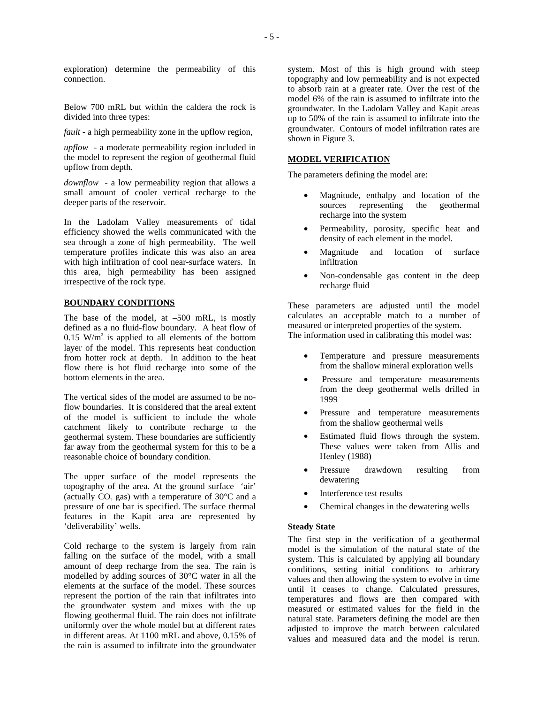exploration) determine the permeability of this connection.

Below 700 mRL but within the caldera the rock is divided into three types:

*fault* - a high permeability zone in the upflow region,

*upflow* - a moderate permeability region included in the model to represent the region of geothermal fluid upflow from depth.

*downflow* - a low permeability region that allows a small amount of cooler vertical recharge to the deeper parts of the reservoir.

In the Ladolam Valley measurements of tidal efficiency showed the wells communicated with the sea through a zone of high permeability. The well temperature profiles indicate this was also an area with high infiltration of cool near-surface waters. In this area, high permeability has been assigned irrespective of the rock type.

### **BOUNDARY CONDITIONS**

The base of the model, at  $-500$  mRL, is mostly defined as a no fluid-flow boundary. A heat flow of  $0.15$  W/m<sup>2</sup> is applied to all elements of the bottom layer of the model. This represents heat conduction from hotter rock at depth. In addition to the heat flow there is hot fluid recharge into some of the bottom elements in the area.

The vertical sides of the model are assumed to be noflow boundaries. It is considered that the areal extent of the model is sufficient to include the whole catchment likely to contribute recharge to the geothermal system. These boundaries are sufficiently far away from the geothermal system for this to be a reasonable choice of boundary condition.

The upper surface of the model represents the topography of the area. At the ground surface 'air' (actually CO<sub>2</sub> gas) with a temperature of  $30^{\circ}$ C and a pressure of one bar is specified. The surface thermal features in the Kapit area are represented by 'deliverability' wells.

Cold recharge to the system is largely from rain falling on the surface of the model, with a small amount of deep recharge from the sea. The rain is modelled by adding sources of 30°C water in all the elements at the surface of the model. These sources represent the portion of the rain that infiltrates into the groundwater system and mixes with the up flowing geothermal fluid. The rain does not infiltrate uniformly over the whole model but at different rates in different areas. At 1100 mRL and above, 0.15% of the rain is assumed to infiltrate into the groundwater

system. Most of this is high ground with steep topography and low permeability and is not expected to absorb rain at a greater rate. Over the rest of the model 6% of the rain is assumed to infiltrate into the groundwater. In the Ladolam Valley and Kapit areas up to 50% of the rain is assumed to infiltrate into the groundwater. Contours of model infiltration rates are shown in Figure 3.

### **MODEL VERIFICATION**

The parameters defining the model are:

- Magnitude, enthalpy and location of the<br>sources representing the geothermal sources representing recharge into the system
- Permeability, porosity, specific heat and density of each element in the model.
- Magnitude and location of surface infiltration
- Non-condensable gas content in the deep recharge fluid

These parameters are adjusted until the model calculates an acceptable match to a number of measured or interpreted properties of the system. The information used in calibrating this model was:

- Temperature and pressure measurements from the shallow mineral exploration wells
- Pressure and temperature measurements from the deep geothermal wells drilled in 1999
- Pressure and temperature measurements from the shallow geothermal wells
- Estimated fluid flows through the system. These values were taken from Allis and Henley (1988)
- Pressure drawdown resulting from dewatering
- Interference test results
- Chemical changes in the dewatering wells

### **Steady State**

The first step in the verification of a geothermal model is the simulation of the natural state of the system. This is calculated by applying all boundary conditions, setting initial conditions to arbitrary values and then allowing the system to evolve in time until it ceases to change. Calculated pressures, temperatures and flows are then compared with measured or estimated values for the field in the natural state. Parameters defining the model are then adjusted to improve the match between calculated values and measured data and the model is rerun.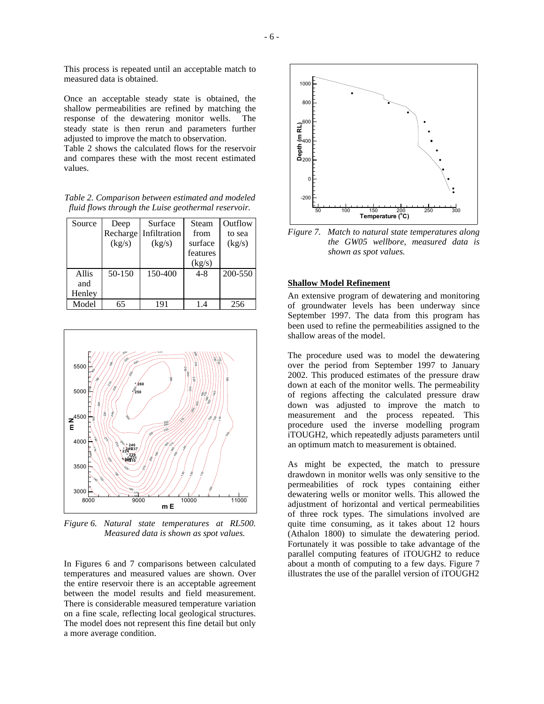This process is repeated until an acceptable match to measured data is obtained.

Once an acceptable steady state is obtained, the shallow permeabilities are refined by matching the response of the dewatering monitor wells. The steady state is then rerun and parameters further adjusted to improve the match to observation.

Table 2 shows the calculated flows for the reservoir and compares these with the most recent estimated values.

*Table 2. Comparison between estimated and modeled fluid flows through the Luise geothermal reservoir.* 

| Source | Deep       | Surface      | Steam    | Outflow |
|--------|------------|--------------|----------|---------|
|        | Recharge   | Infiltration | from     | to sea  |
|        | (kg/s)     | (kg/s)       | surface  | (kg/s)  |
|        |            |              | features |         |
|        |            |              | (kg/s)   |         |
| Allis  | $50 - 150$ | 150-400      | $4 - 8$  | 200-550 |
| and    |            |              |          |         |
| Henley |            |              |          |         |
| Model  | 65         | 191          | 1.4      | 256     |



*Figure 6. Natural state temperatures at RL500. Measured data is shown as spot values.* 

In Figures 6 and 7 comparisons between calculated temperatures and measured values are shown. Over the entire reservoir there is an acceptable agreement between the model results and field measurement. There is considerable measured temperature variation on a fine scale, reflecting local geological structures. The model does not represent this fine detail but only a more average condition.



*Figure 7. Match to natural state temperatures along the GW05 wellbore, measured data is shown as spot values.*

### **Shallow Model Refinement**

An extensive program of dewatering and monitoring of groundwater levels has been underway since September 1997. The data from this program has been used to refine the permeabilities assigned to the shallow areas of the model.

The procedure used was to model the dewatering over the period from September 1997 to January 2002. This produced estimates of the pressure draw down at each of the monitor wells. The permeability of regions affecting the calculated pressure draw down was adjusted to improve the match to measurement and the process repeated. This procedure used the inverse modelling program iTOUGH2, which repeatedly adjusts parameters until an optimum match to measurement is obtained.

As might be expected, the match to pressure drawdown in monitor wells was only sensitive to the permeabilities of rock types containing either dewatering wells or monitor wells. This allowed the adjustment of horizontal and vertical permeabilities of three rock types. The simulations involved are quite time consuming, as it takes about 12 hours (Athalon 1800) to simulate the dewatering period. Fortunately it was possible to take advantage of the parallel computing features of iTOUGH2 to reduce about a month of computing to a few days. Figure 7 illustrates the use of the parallel version of iTOUGH2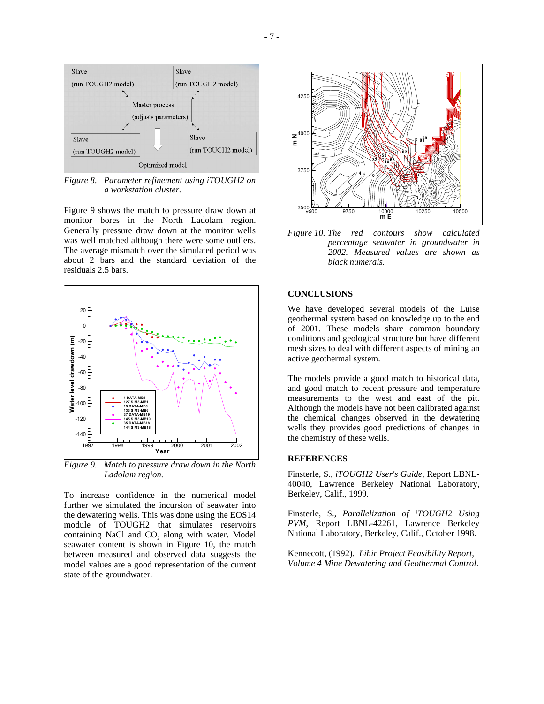

*Figure 8. Parameter refinement using iTOUGH2 on a workstation cluster.* 

Figure 9 shows the match to pressure draw down at monitor bores in the North Ladolam region. Generally pressure draw down at the monitor wells was well matched although there were some outliers. The average mismatch over the simulated period was about 2 bars and the standard deviation of the residuals 2.5 bars.



*Figure 9. Match to pressure draw down in the North Ladolam region.* 

To increase confidence in the numerical model further we simulated the incursion of seawater into the dewatering wells. This was done using the EOS14 module of TOUGH2 that simulates reservoirs containing NaCl and CO<sub>2</sub> along with water. Model seawater content is shown in Figure 10, the match between measured and observed data suggests the model values are a good representation of the current state of the groundwater.



*Figure 10. The red contours show calculated percentage seawater in groundwater in 2002. Measured values are shown as black numerals.* 

# **CONCLUSIONS**

We have developed several models of the Luise geothermal system based on knowledge up to the end of 2001. These models share common boundary conditions and geological structure but have different mesh sizes to deal with different aspects of mining an active geothermal system.

The models provide a good match to historical data, and good match to recent pressure and temperature measurements to the west and east of the pit. Although the models have not been calibrated against the chemical changes observed in the dewatering wells they provides good predictions of changes in the chemistry of these wells.

## **REFERENCES**

Finsterle, S., *iTOUGH2 User's Guide*, Report LBNL-40040, Lawrence Berkeley National Laboratory, Berkeley, Calif., 1999.

Finsterle, S., *Parallelization of iTOUGH2 Using PVM*, Report LBNL-42261, Lawrence Berkeley National Laboratory, Berkeley, Calif., October 1998.

Kennecott, (1992). *Lihir Project Feasibility Report, Volume 4 Mine Dewatering and Geothermal Control*.